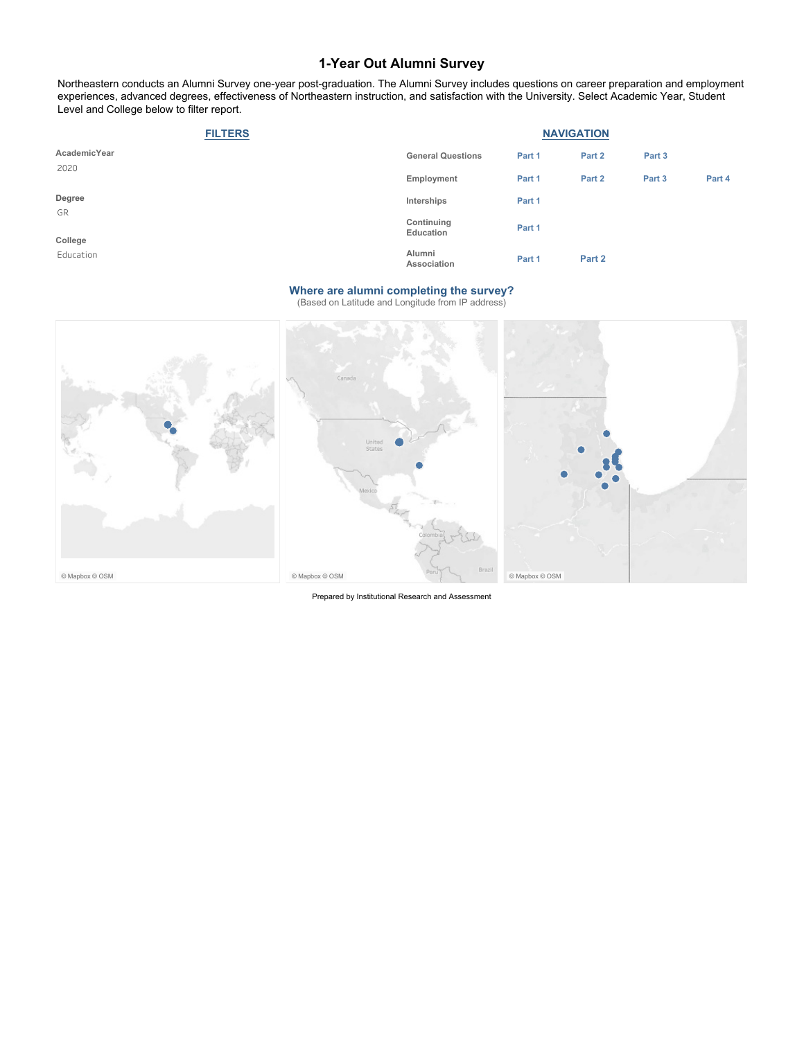Northeastern conducts an Alumni Survey one-year post-graduation. The Alumni Survey includes questions on career preparation and employment experiences, advanced degrees, effectiveness of Northeastern instruction, and satisfaction with the University. Select Academic Year, Student Level and College below to filter report.

| <b>FILTERS</b> |                          | <b>NAVIGATION</b> |        |        |        |
|----------------|--------------------------|-------------------|--------|--------|--------|
| AcademicYear   | <b>General Questions</b> | Part 1            | Part 2 | Part 3 |        |
| 2020           | Employment               | Part 1            | Part 2 | Part 3 | Part 4 |
| Degree         | Interships               | Part 1            |        |        |        |
| GR<br>College  | Continuing<br>Education  | Part 1            |        |        |        |
| Education      | Alumni<br>Association    | Part 1            | Part 2 |        |        |

#### **Where are alumni completing the survey?**

(Based on Latitude and Longitude from IP address)



Prepared by Institutional Research and Assessment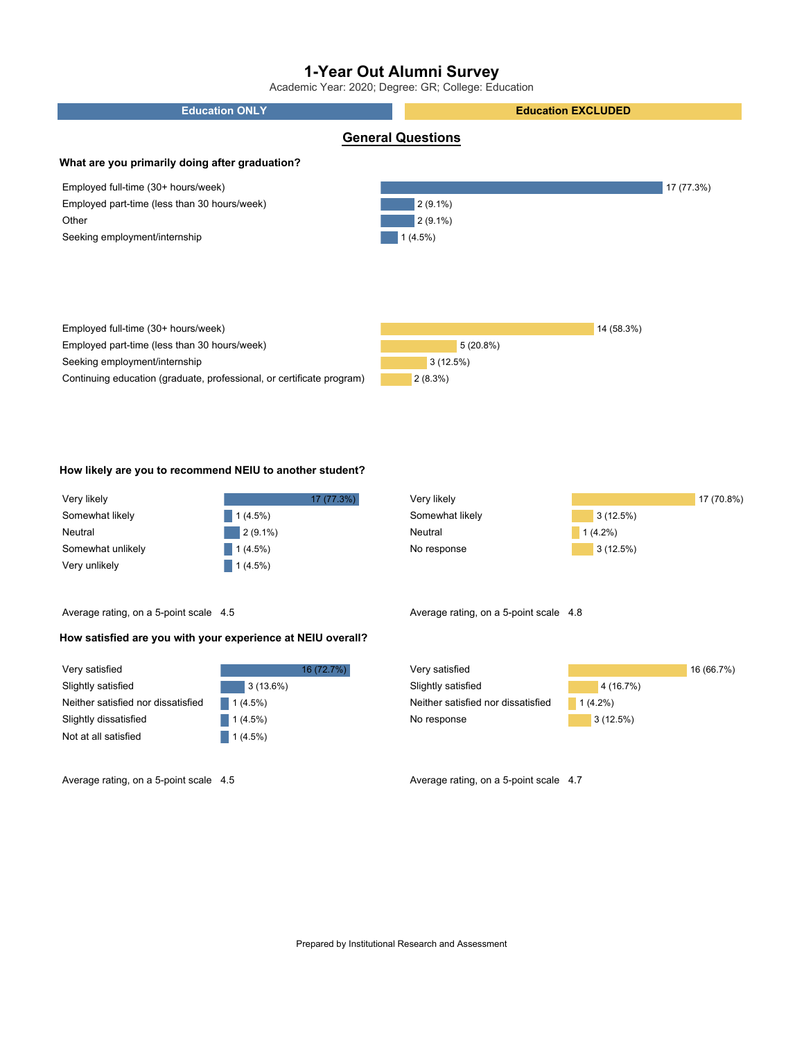Academic Year: 2020; Degree: GR; College: Education



#### **How likely are you to recommend NEIU to another student?**

| Very likely       | 17 (77.3%) |
|-------------------|------------|
| Somewhat likely   | 1(4.5%)    |
| Neutral           | $2(9.1\%)$ |
| Somewhat unlikely | 1(4.5%)    |
| Very unlikely     | $1(4.5\%)$ |

Very likely Somewhat likely **Neutral** No response 17 (70.8%) 3 (12.5%) 3 (12.5%) 1 (4.2%)

Average rating, on a 5-point scale 4.5

#### **How satisfied are you with your experience at NEIU overall?**

| Very satisfied                     |             | 16 (72.7%) |
|------------------------------------|-------------|------------|
| Slightly satisfied                 | $3(13.6\%)$ |            |
| Neither satisfied nor dissatisfied | $1(4.5\%)$  |            |
| Slightly dissatisfied              | $1(4.5\%)$  |            |
| Not at all satisfied               | $1(4.5\%)$  |            |

Very satisfied Slightly satisfied Neither satisfied nor dissatisfied No response 16 (66.7%) 4 (16.7%) 3 (12.5%) 1 (4.2%)

Average rating, on a 5-point scale 4.5 Average rating, on a 5-point scale 4.7

Average rating, on a 5-point scale 4.8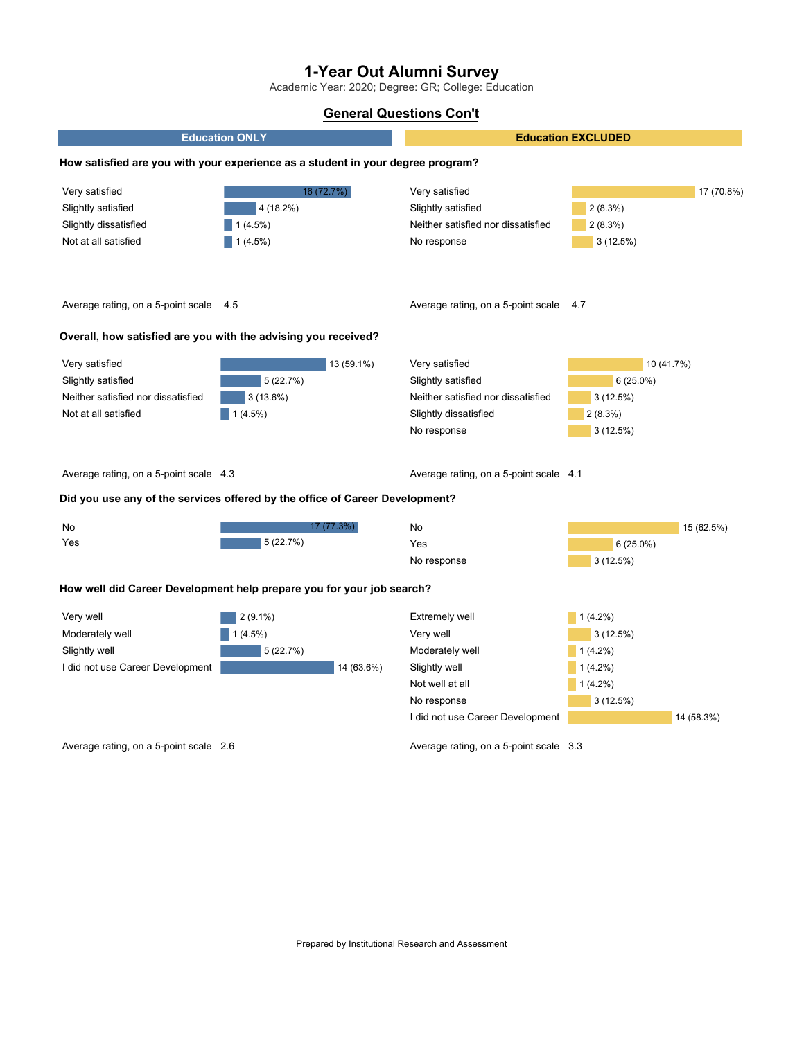Academic Year: 2020; Degree: GR; College: Education

### **General Questions Con't**

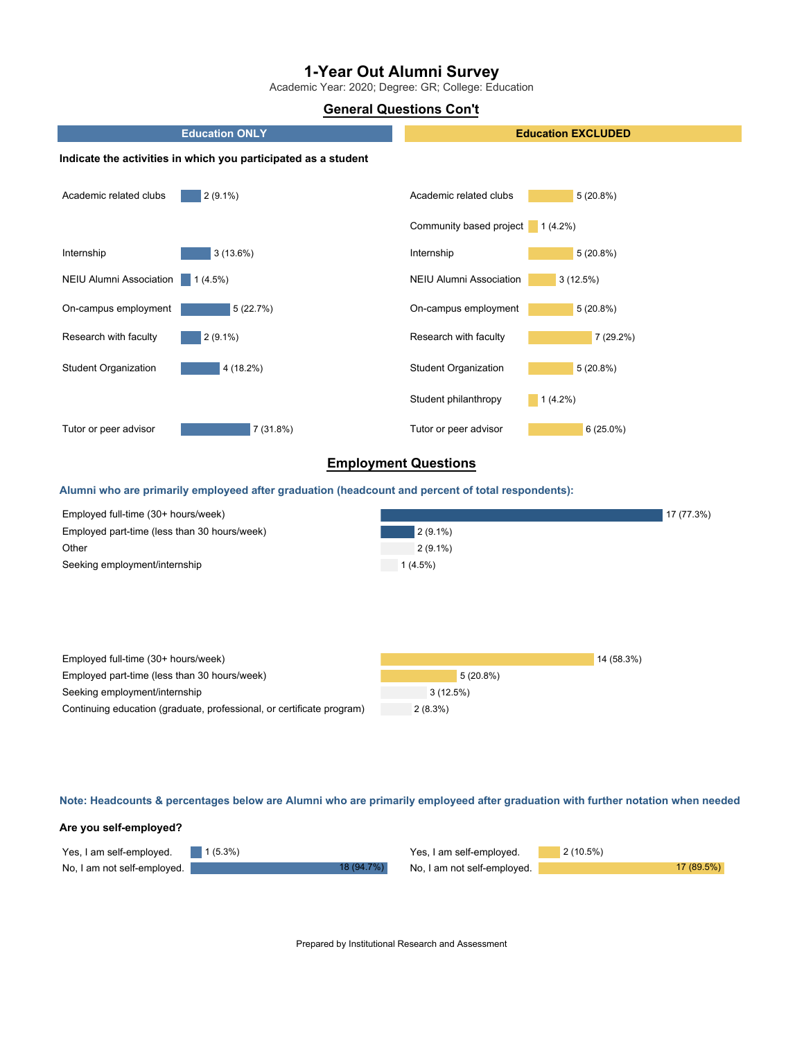Academic Year: 2020; Degree: GR; College: Education

### **General Questions Con't**



| Employed full-time (30+ hours/week)                                   |            | 14 (58.3%) |
|-----------------------------------------------------------------------|------------|------------|
| Employed part-time (less than 30 hours/week)                          | 5(20.8%)   |            |
| Seeking employment/internship                                         | 3(12.5%)   |            |
| Continuing education (graduate, professional, or certificate program) | $2(8.3\%)$ |            |

Note: Headcounts & percentages below are Alumni who are primarily employeed after graduation with further notation when needed

# **Are you self-employed?**

| Yes, I am self-employed. $\blacksquare$ 1 (5.3%) |            | Yes, I am self-employed.    | $2(10.5\%)$ |
|--------------------------------------------------|------------|-----------------------------|-------------|
| No, I am not self-employed.                      | 18 (94.7%) | No, I am not self-employed. | 17 (89.5%)  |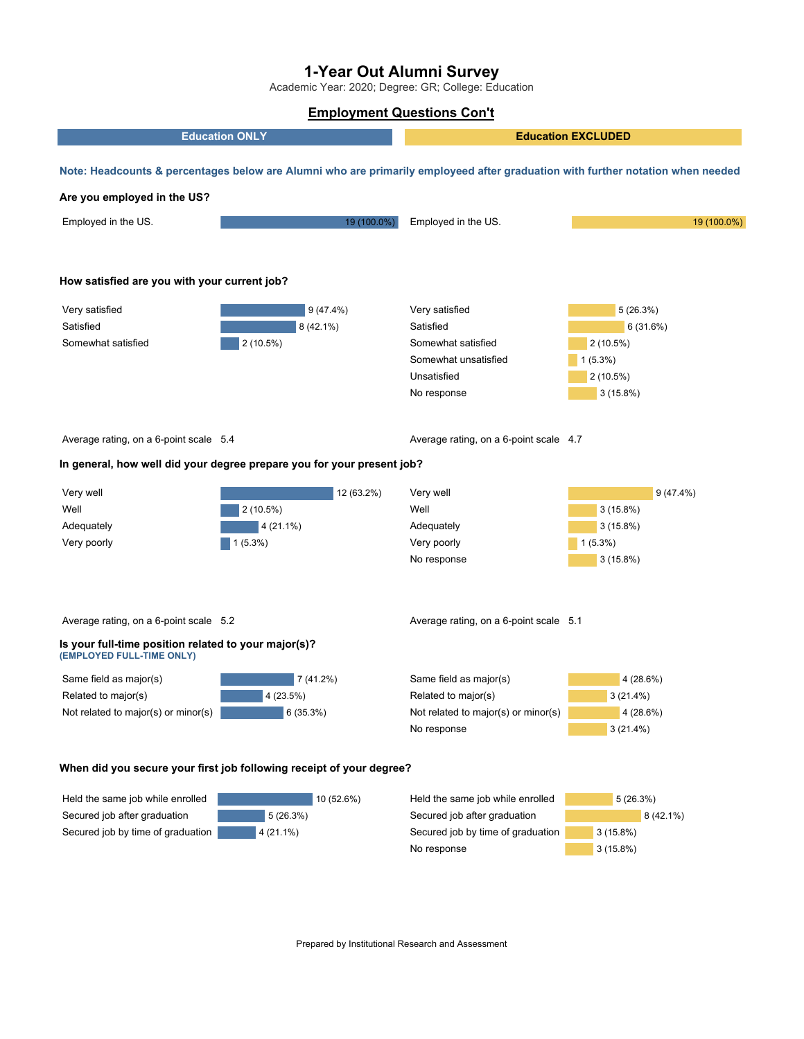Academic Year: 2020; Degree: GR; College: Education

### **Employment Questions Con't**



Secured job after graduation Secured job by time of graduation 5 (26.3%) 4 (21.1%) Secured job after graduation Secured job by time of graduation No response 8 (42.1%) 3 (15.8%) 3 (15.8%)

Prepared by Institutional Research and Assessment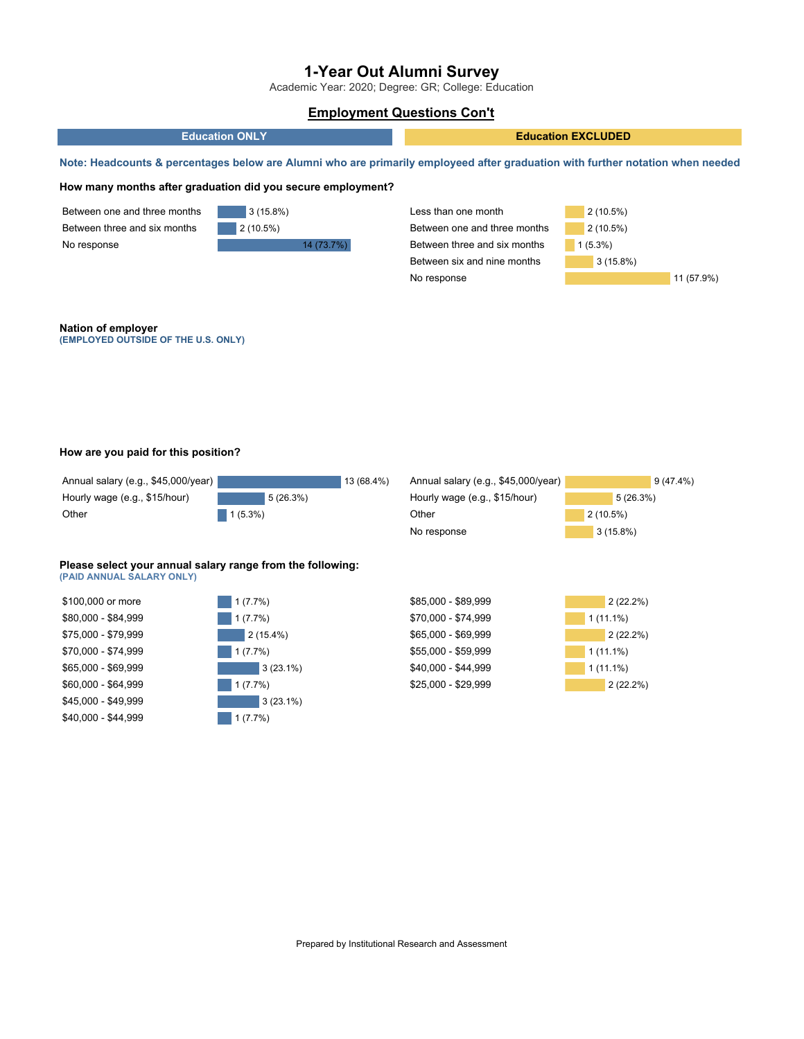Academic Year: 2020; Degree: GR; College: Education

### **Employment Questions Con't**



#### **How are you paid for this position?**

| Annual salary (e.g., \$45,000/year) |            | 13 (68.4%) | Annual salary (e.g., \$45,000/year) | $9(47.4\%)$ |
|-------------------------------------|------------|------------|-------------------------------------|-------------|
| Hourly wage (e.g., \$15/hour)       | 5(26.3%)   |            | Hourly wage (e.g., \$15/hour)       | 5(26.3%)    |
| Other                               | $1(5.3\%)$ |            | Other                               | 2(10.5%)    |
|                                     |            |            | No response                         | $3(15.8\%)$ |
|                                     |            |            |                                     |             |

#### **Please select your annual salary range from the following: (PAID ANNUAL SALARY ONLY)**



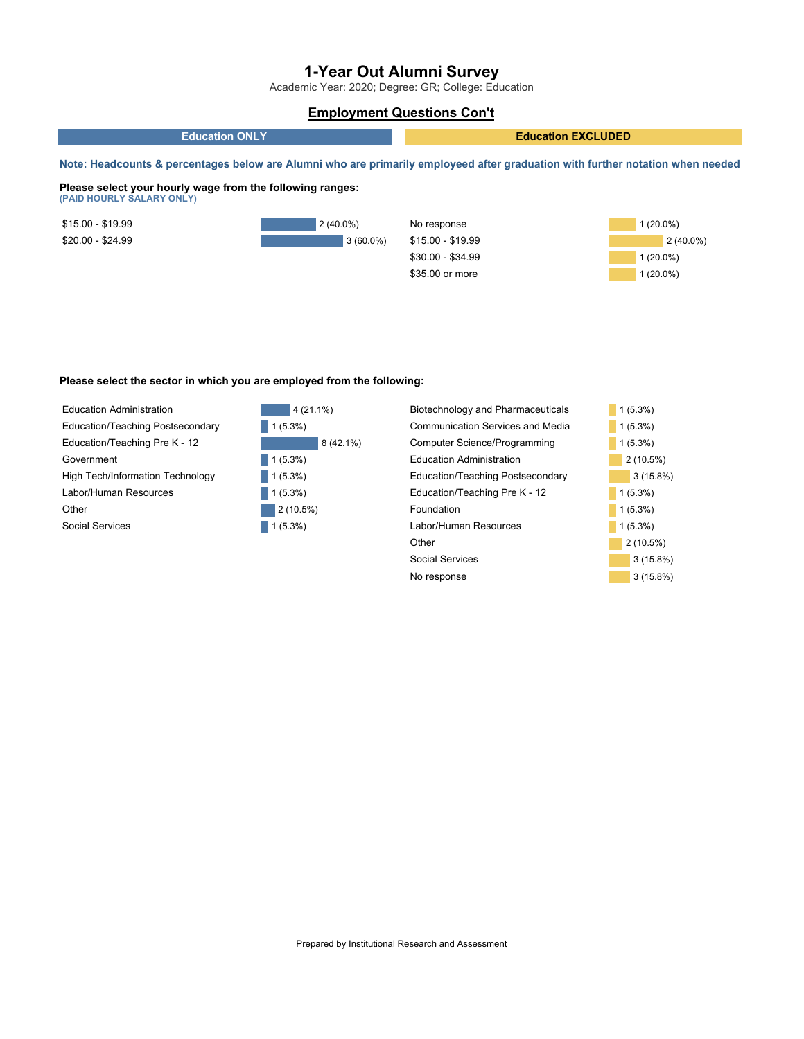Academic Year: 2020; Degree: GR; College: Education

### **Employment Questions Con't**





#### **Please select the sector in which you are employed from the following:**



| Biotechnology and Pharmaceuticals | $1(5.3\%)$  |
|-----------------------------------|-------------|
| Communication Services and Media  | $1(5.3\%)$  |
| Computer Science/Programming      | $1(5.3\%)$  |
| Education Administration          | $2(10.5\%)$ |
| Education/Teaching Postsecondary  | $3(15.8\%)$ |
| Education/Teaching Pre K - 12     | $1(5.3\%)$  |
| Foundation                        | $1(5.3\%)$  |
| Labor/Human Resources             | $1(5.3\%)$  |
| Other                             | $2(10.5\%)$ |
| Social Services                   | $3(15.8\%)$ |
| No response                       | $3(15.8\%)$ |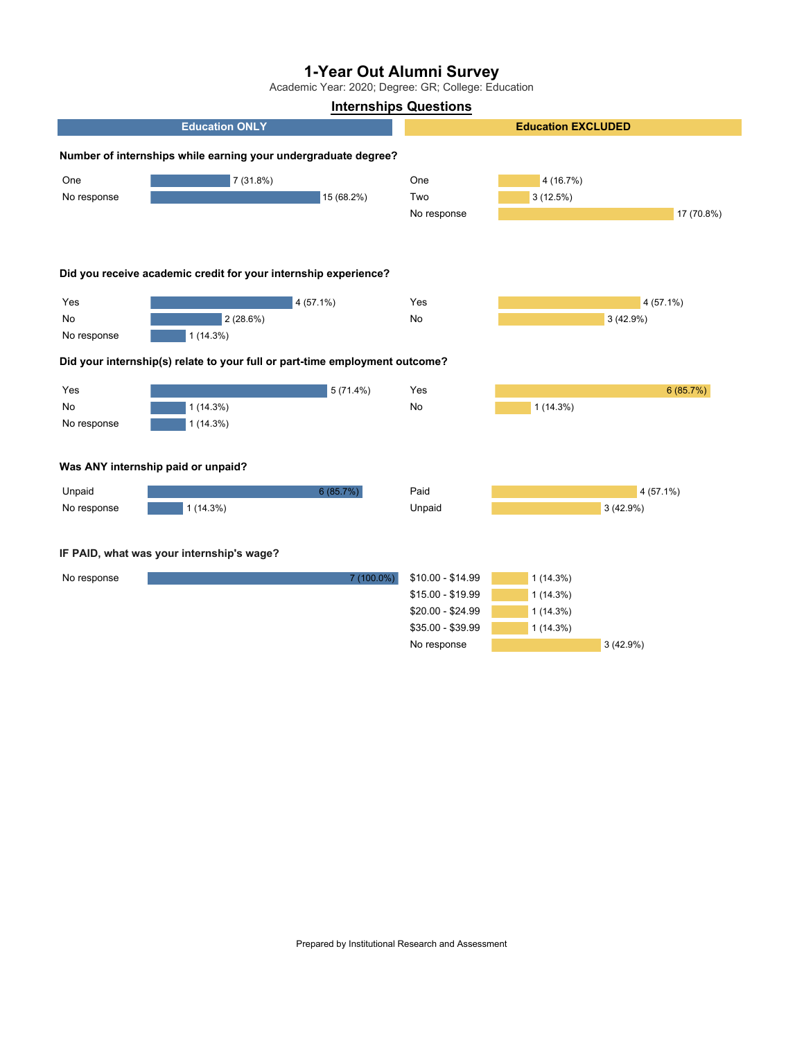Academic Year: 2020; Degree: GR; College: Education

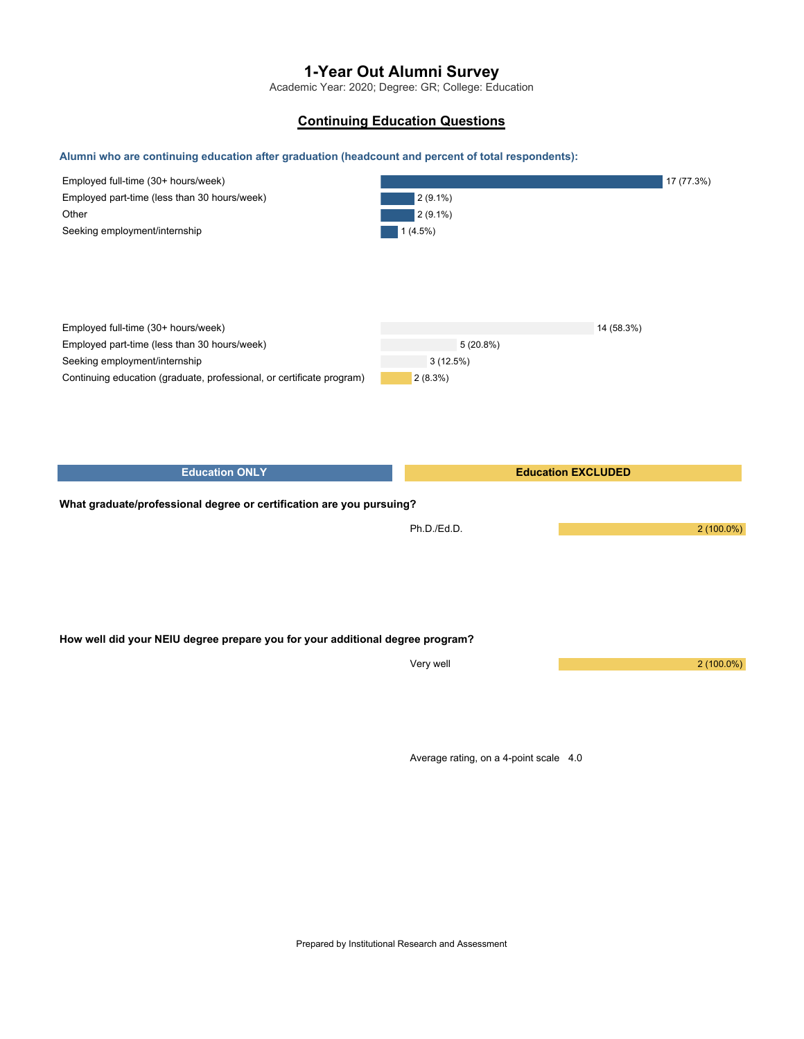Academic Year: 2020; Degree: GR; College: Education

### **Continuing Education Questions**

### **Alumni who are continuing education after graduation (headcount and percent of total respondents):**

| Employed full-time (30+ hours/week)                                           |             |                           | 17 (77.3%)   |
|-------------------------------------------------------------------------------|-------------|---------------------------|--------------|
| Employed part-time (less than 30 hours/week)                                  | $2(9.1\%)$  |                           |              |
| Other                                                                         | $2(9.1\%)$  |                           |              |
| Seeking employment/internship                                                 | $1(4.5\%)$  |                           |              |
|                                                                               |             |                           |              |
|                                                                               |             |                           |              |
|                                                                               |             |                           |              |
|                                                                               |             |                           |              |
|                                                                               |             |                           |              |
| Employed full-time (30+ hours/week)                                           |             | 14 (58.3%)                |              |
| Employed part-time (less than 30 hours/week)                                  | 5(20.8%)    |                           |              |
| Seeking employment/internship                                                 | 3(12.5%)    |                           |              |
| Continuing education (graduate, professional, or certificate program)         | 2(8.3%)     |                           |              |
|                                                                               |             |                           |              |
|                                                                               |             |                           |              |
|                                                                               |             |                           |              |
|                                                                               |             |                           |              |
|                                                                               |             |                           |              |
|                                                                               |             |                           |              |
| <b>Education ONLY</b>                                                         |             | <b>Education EXCLUDED</b> |              |
|                                                                               |             |                           |              |
| What graduate/professional degree or certification are you pursuing?          |             |                           |              |
|                                                                               | Ph.D./Ed.D. |                           | $2(100.0\%)$ |
|                                                                               |             |                           |              |
|                                                                               |             |                           |              |
|                                                                               |             |                           |              |
|                                                                               |             |                           |              |
|                                                                               |             |                           |              |
|                                                                               |             |                           |              |
| How well did your NEIU degree prepare you for your additional degree program? |             |                           |              |
|                                                                               |             |                           |              |
|                                                                               | Very well   |                           | $2(100.0\%)$ |
|                                                                               |             |                           |              |
|                                                                               |             |                           |              |
|                                                                               |             |                           |              |

Average rating, on a 4-point scale 4.0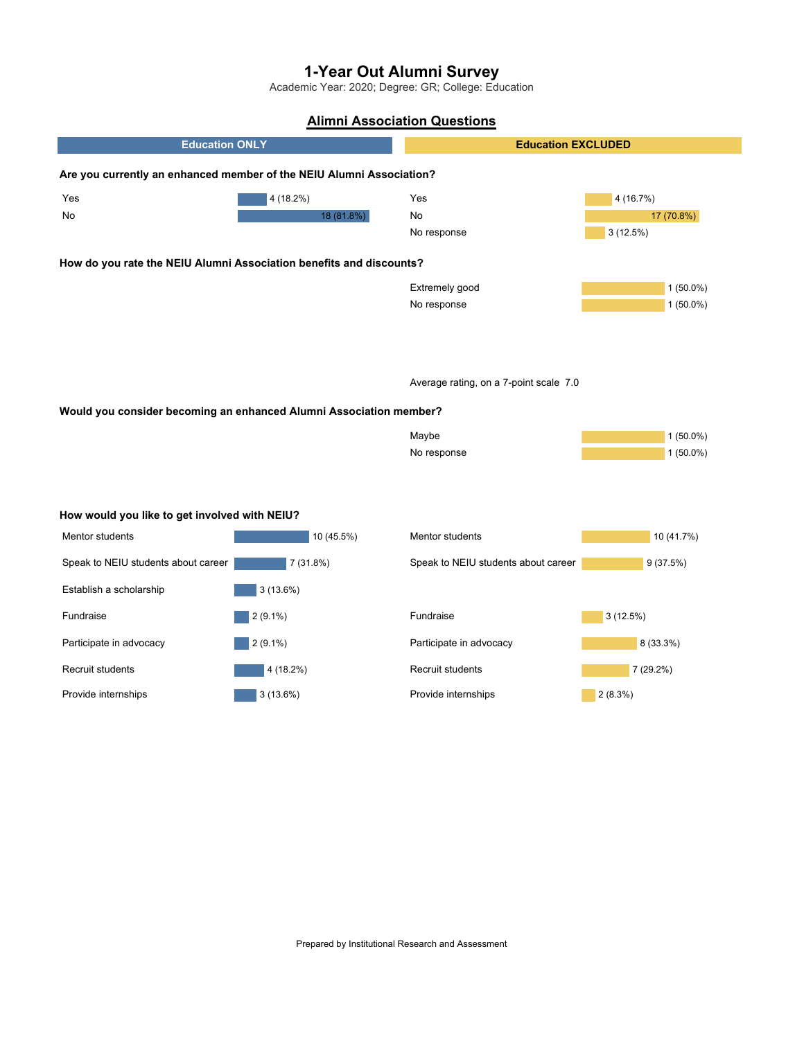Academic Year: 2020; Degree: GR; College: Education

# **Alimni Association Questions**

| <b>Education ONLY</b>                                                |             | <b>Education EXCLUDED</b>              |             |
|----------------------------------------------------------------------|-------------|----------------------------------------|-------------|
| Are you currently an enhanced member of the NEIU Alumni Association? |             |                                        |             |
| Yes                                                                  | $4(18.2\%)$ | Yes                                    | 4 (16.7%)   |
| No                                                                   | 18 (81.8%)  | No                                     | 17 (70.8%)  |
|                                                                      |             | No response                            | 3(12.5%)    |
| How do you rate the NEIU Alumni Association benefits and discounts?  |             |                                        |             |
|                                                                      |             | Extremely good                         | $1(50.0\%)$ |
|                                                                      |             | No response                            | $1(50.0\%)$ |
|                                                                      |             |                                        |             |
|                                                                      |             | Average rating, on a 7-point scale 7.0 |             |
|                                                                      |             |                                        |             |
| Would you consider becoming an enhanced Alumni Association member?   |             |                                        |             |
|                                                                      |             | Maybe                                  | $1(50.0\%)$ |
|                                                                      |             | No response                            | $1(50.0\%)$ |
|                                                                      |             |                                        |             |
|                                                                      |             |                                        |             |
| How would you like to get involved with NEIU?                        |             |                                        |             |
| Mentor students                                                      | 10 (45.5%)  | Mentor students                        | 10 (41.7%)  |
| Speak to NEIU students about career                                  | 7(31.8%)    | Speak to NEIU students about career    | 9(37.5%)    |
| Establish a scholarship                                              | $3(13.6\%)$ |                                        |             |
| Fundraise                                                            | $2(9.1\%)$  | Fundraise                              | 3(12.5%)    |
| Participate in advocacy                                              | $2(9.1\%)$  | Participate in advocacy                | 8 (33.3%)   |
| Recruit students                                                     | 4 (18.2%)   | Recruit students                       | 7 (29.2%)   |
| Provide internships                                                  | 3(13.6%)    | Provide internships                    | 2(8.3%)     |
|                                                                      |             |                                        |             |